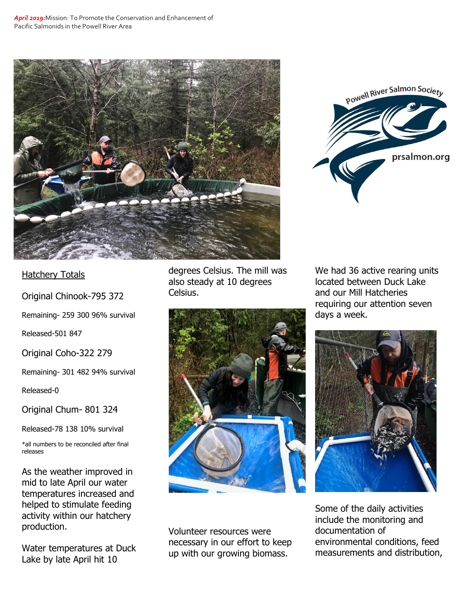



## **Hatchery Totals**

Original Chinook-795 372

Remaining- 259 300 96% survival

Released-501 847

Original Coho-322 279

Remaining- 301 482 94% survival

Released-0

Original Chum- 801 324

Released-78 138 10% survival

\*all numbers to be reconciled after final releases

As the weather improved in mid to late April our water temperatures increased and helped to stimulate feeding activity within our hatchery production.

Water temperatures at Duck Lake by late April hit 10

degrees Celsius. The mill was also steady at 10 degrees Celsius.



Volunteer resources were necessary in our effort to keep up with our growing biomass.

We had 36 active rearing units located between Duck Lake and our Mill Hatcheries requiring our attention seven days a week.



Some of the daily activities include the monitoring and documentation of environmental conditions, feed measurements and distribution,